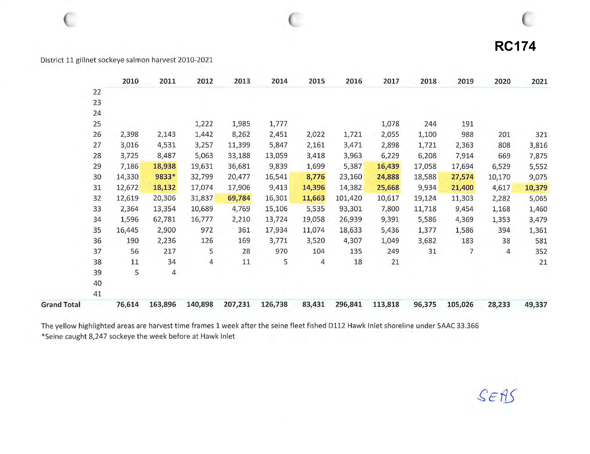## **RC174**

## District 11 gillnet sockeye salmon harvest 2010-2021

|                    |    | 2010   | 2011    | 2012    | 2013    | 2014    | 2015   | 2016    | 2017    | 2018   | 2019    | 2020   | 2021   |
|--------------------|----|--------|---------|---------|---------|---------|--------|---------|---------|--------|---------|--------|--------|
|                    | 22 |        |         |         |         |         |        |         |         |        |         |        |        |
|                    | 23 |        |         |         |         |         |        |         |         |        |         |        |        |
|                    | 24 |        |         |         |         |         |        |         |         |        |         |        |        |
|                    | 25 |        |         | 1,222   | 1,985   | 1,777   |        |         | 1,078   | 244    | 191     |        |        |
|                    | 26 | 2,398  | 2,143   | 1,442   | 8,262   | 2,451   | 2,022  | 1,721   | 2,055   | 1,100  | 988     | 201    | 321    |
|                    | 27 | 3,016  | 4,531   | 3,257   | 11,399  | 5,847   | 2,161  | 3,471   | 2,898   | 1,721  | 2,363   | 808    | 3,816  |
|                    | 28 | 3,725  | 8,487   | 5,063   | 33,188  | 13,059  | 3,418  | 3,963   | 6,229   | 6,208  | 7,914   | 669    | 7,875  |
|                    | 29 | 7,186  | 18,938  | 19,631  | 36,681  | 9,839   | 1,699  | 5,387   | 16,439  | 17,058 | 17,694  | 6,529  | 5,552  |
|                    | 30 | 14,330 | 9833*   | 32,799  | 20,477  | 16,541  | 8,776  | 23,160  | 24,888  | 18,588 | 27,574  | 10,170 | 9,075  |
|                    | 31 | 12,672 | 18,132  | 17,074  | 17,906  | 9,413   | 14,396 | 14,382  | 25,668  | 9,934  | 21,400  | 4,617  | 10,379 |
|                    | 32 | 12,619 | 20,306  | 31,837  | 69,784  | 16,301  | 11,663 | 101,420 | 10,617  | 19,124 | 11,303  | 2,282  | 5,065  |
|                    | 33 | 2,364  | 13,354  | 10,689  | 4,769   | 15,106  | 5,535  | 93,301  | 7,800   | 11,718 | 9,454   | 1,168  | 1,460  |
|                    | 34 | 1,596  | 62,781  | 16,777  | 2,210   | 13,724  | 19,058 | 26,939  | 9,391   | 5,586  | 4,369   | 1,353  | 3,479  |
|                    | 35 | 16,445 | 2,900   | 972     | 361     | 17,934  | 11,074 | 18,633  | 5,436   | 1,377  | 1,586   | 394    | 1,361  |
|                    | 36 | 190    | 2,236   | 126     | 169     | 3,771   | 3,520  | 4,307   | 1,049   | 3,682  | 183     | 38     | 581    |
|                    | 37 | 56     | 217     | 5       | 28      | 970     | 104    | 135     | 249     | 31     | 7       | 4      | 352    |
|                    | 38 | $11\,$ | 34      | 4       | 11      | 5       | 4      | 18      | 21      |        |         |        | 21     |
|                    | 39 | 5      | 4       |         |         |         |        |         |         |        |         |        |        |
|                    | 40 |        |         |         |         |         |        |         |         |        |         |        |        |
|                    | 41 |        |         |         |         |         |        |         |         |        |         |        |        |
| <b>Grand Total</b> |    | 76,614 | 163,896 | 140,898 | 207,231 | 126,738 | 83,431 | 296,841 | 113,818 | 96,375 | 105,026 | 28,233 | 49,337 |

The yellow highlighted areas are harvest time frames 1 week after the seine fleet fished D112 Hawk Inlet shoreline under 5AAC 33.366 \*Seine caught 8,247 sockeye the week before at Hawk Inlet

SEAS